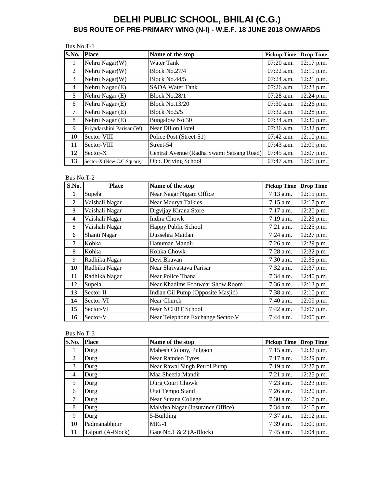|       | Bus No.T-1                |                                           |                    |                  |  |
|-------|---------------------------|-------------------------------------------|--------------------|------------------|--|
| S.No. | <b>Place</b>              | Name of the stop                          | <b>Pickup Time</b> | <b>Drop Time</b> |  |
| 1     | Nehru Nagar(W)            | Water Tank                                | 07:20 a.m.         | 12:17 p.m.       |  |
| 2     | Nehru Nagar(W)            | Block No.27/4                             | $07:22$ a.m.       | 12:19 p.m.       |  |
| 3     | Nehru Nagar(W)            | Block No.44/5                             | $07:24$ a.m.       | $12:21$ p.m.     |  |
| 4     | Nehru Nagar (E)           | <b>SADA Water Tank</b>                    | $07:26$ a.m.       | 12:23 p.m.       |  |
| 5     | Nehru Nagar (E)           | <b>Block No.28/1</b>                      | $07:28$ a.m.       | 12:24 p.m.       |  |
| 6     | Nehru Nagar (E)           | <b>Block No.13/20</b>                     | $07:30$ a.m.       | 12:26 p.m.       |  |
| 7     | Nehru Nagar (E)           | Block No.5/5                              | $07:32$ a.m.       | 12:28 p.m.       |  |
| 8     | Nehru Nagar (E)           | <b>Bungalow No.30</b>                     | $07:34$ a.m.       | 12:30 p.m.       |  |
| 9     | Priyadarshini Parisar (W) | Near Dillon Hotel                         | $07:36$ a.m.       | 12:32 p.m.       |  |
| 10    | Sector-VIII               | Police Post (Street-51)                   | $07:42$ a.m.       | $12:10$ p.m.     |  |
| 11    | Sector-VIII               | Street-54                                 | 07:43 a.m.         | 12:09 p.m.       |  |
| 12    | Sector-X                  | Central Avenue (Radha Swami Satsang Road) | $07:45$ a.m.       | 12:07 p.m.       |  |
| 13    | Sector-X (New C.C.Square) | Opp. Driving School                       | 07:47 a.m.         | 12:05 p.m.       |  |

#### Bus No.T-2

| S.No.          | <b>Place</b>   | Name of the stop                  | <b>Pickup Time</b> | <b>Drop Time</b> |
|----------------|----------------|-----------------------------------|--------------------|------------------|
| 1              | Supela         | Near Nagar Nigam Office           | $7:13$ a.m.        | $12:15$ p.m.     |
| $\overline{2}$ | Vaishali Nagar | Near Maurya Talkies               | $7:15$ a.m.        | 12:17 p.m.       |
| 3              | Vaishali Nagar | Digvijay Kirana Store             | $7:17$ a.m.        | 12:20 p.m.       |
| 4              | Vaishali Nagar | Indira Chowk                      | $7:19$ a.m.        | 12:23 p.m.       |
| 5              | Vaishali Nagar | Happy Public School               | $7:21$ a.m.        | 12:25 p.m.       |
| 6              | Shanti Nagar   | Dussehra Maidan                   | $7:24$ a.m.        | 12:27 p.m.       |
| 7              | Kohka          | Hanuman Mandir                    | $7:26$ a.m.        | 12:29 p.m.       |
| 8              | Kohka          | Kohka Chowk                       | $7:28$ a.m.        | 12:32 p.m.       |
| 9              | Radhika Nagar  | Devi Bhavan                       | $7:30$ a.m.        | 12:35 p.m.       |
| 10             | Radhika Nagar  | Near Shrivastava Parisar          | $7:32$ a.m.        | 12:37 p.m.       |
| 11             | Radhika Nagar  | Near Police Thana                 | $7:34$ a.m.        | 12:40 p.m.       |
| 12             | Supela         | Near Khadims Footwear Show Room   | $7:36$ a.m.        | $12:13$ p.m.     |
| 13             | Sector-II      | Indian Oil Pump (Opposite Masjid) | $7:38$ a.m.        | 12:10 p.m.       |
| 14             | Sector-VI      | Near Church                       | $7:40$ a.m.        | 12:09 p.m.       |
| 15             | Sector-VI      | <b>Near NCERT School</b>          | $7:42$ a.m.        | 12:07 p.m.       |
| 16             | Sector-V       | Near Telephone Exchange Sector-V  | $7:44$ a.m.        | $12:05$ p.m.     |

| S.No. | <b>Place</b>      | Name of the stop                 | <b>Pickup Time</b> | <b>Drop Time</b> |
|-------|-------------------|----------------------------------|--------------------|------------------|
|       | Durg              | Mahesh Colony, Pulgaon           | $7:15$ a.m.        | 12:32 p.m.       |
| 2     | Durg              | Near Ramdeo Tyres                | $7:17$ a.m.        | 12:29 p.m.       |
| 3     | Durg              | Near Rawal Singh Petrol Pump     | $7:19$ a.m.        | 12:27 p.m.       |
| 4     | Durg              | Maa Sheetla Mandir               | $7:21$ a.m.        | 12:25 p.m.       |
| 5     | Durg              | Durg Court Chowk                 | $7:23$ a.m.        | 12:23 p.m.       |
| 6     | Durg              | Utai Tempo Stand                 | $7:26$ a.m.        | 12:20 p.m.       |
| 7     | Durg              | Near Surana College              | $7:30$ a.m.        | 12:17 p.m.       |
| 8     | Durg              | Malviya Nagar (Insurance Office) | $7:34$ a.m.        | 12:15 p.m.       |
| 9     | Durg              | 5-Building                       | $7:37$ a.m.        | $12:12$ p.m.     |
| 10    | Padmanabhpur      | $MIG-1$                          | 7:39 a.m.          | 12:09 p.m.       |
| 11    | Talpuri (A-Block) | Gate No.1 $& 2(A-Block)$         | 7:45 a.m.          | 12:04 p.m.       |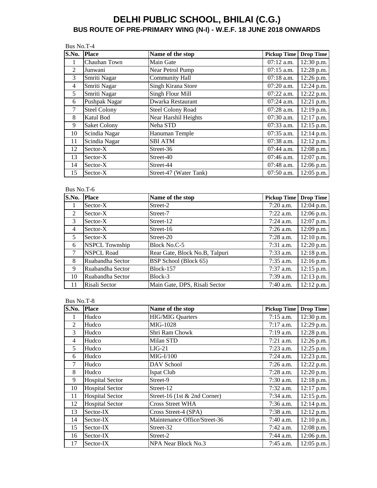| Bus No.T-4     |                     |                          |                    |                  |
|----------------|---------------------|--------------------------|--------------------|------------------|
| S.No.          | <b>Place</b>        | Name of the stop         | <b>Pickup Time</b> | <b>Drop Time</b> |
| 1              | Chauhan Town        | Main Gate                | $07:12$ a.m.       | 12:30 p.m.       |
| $\overline{c}$ | Junwani             | Near Petrol Pump         | $07:15$ a.m.       | 12:28 p.m.       |
| 3              | Smriti Nagar        | <b>Community Hall</b>    | 07:18 a.m.         | 12:26 p.m.       |
| $\overline{4}$ | Smriti Nagar        | Singh Kirana Store       | $07:20$ a.m.       | 12:24 p.m.       |
| 5              | Smriti Nagar        | Singh Flour Mill         | $07:22$ a.m.       | 12:22 p.m.       |
| 6              | Pushpak Nagar       | Dwarka Restaurant        | $07:24$ a.m.       | 12:21 p.m.       |
| 7              | <b>Steel Colony</b> | <b>Steel Colony Road</b> | $07:28$ a.m.       | 12:19 p.m.       |
| 8              | Katul Bod           | Near Harshil Heights     | 07:30 a.m.         | 12:17 p.m.       |
| 9              | <b>Saket Colony</b> | Neha STD                 | $07:33$ a.m.       | $12:15$ p.m.     |
| 10             | Scindia Nagar       | Hanuman Temple           | $07:35$ a.m.       | 12:14 p.m.       |
| 11             | Scindia Nagar       | <b>SBI ATM</b>           | 07:38 a.m.         | $12:12$ p.m.     |
| 12             | Sector-X            | Street-36                | 07:44 a.m.         | 12:08 p.m.       |
| 13             | Sector-X            | Street-40                | $07:46$ a.m.       | 12:07 p.m.       |
| 14             | Sector-X            | Street-44                | 07:48 a.m.         | 12:06 p.m.       |
| 15             | Sector-X            | Street-47 (Water Tank)   | $07:50$ a.m.       | 12:05 p.m.       |

#### Bus No.T-6

| S.No.          | <b>Place</b>          | Name of the stop               | <b>Pickup Time</b> | <b>Drop Time</b> |
|----------------|-----------------------|--------------------------------|--------------------|------------------|
|                | Sector-X              | Street-2                       | $7:20$ a.m.        | 12:04 p.m.       |
| $\mathfrak{D}$ | Sector-X              | Street-7                       | $7:22$ a.m.        | 12:06 p.m.       |
| 3              | Sector-X              | Street-12                      | $7:24$ a.m.        | 12:07 p.m.       |
| $\overline{4}$ | Sector-X              | Street-16                      | $7:26$ a.m.        | 12:09 p.m.       |
| 5              | Sector-X              | Street-20                      | $7:28$ a.m.        | $12:10$ p.m.     |
| 6              | <b>NSPCL Township</b> | Block No.C-5                   | $7:31$ a.m.        | 12:20 p.m.       |
| 7              | <b>NSPCL Road</b>     | Rear Gate, Block No.B, Talpuri | $7:33$ a.m.        | $12:18$ p.m.     |
| 8              | Ruabandha Sector      | BSP School (Block 65)          | $7:35$ a.m.        | $12:16$ p.m.     |
| 9              | Ruabandha Sector      | <b>Block-157</b>               | $7:37$ a.m.        | 12:15 p.m.       |
| 10             | Ruabandha Sector      | Block-3                        | $7:39$ a.m.        | 12:13 p.m.       |
| 11             | Risali Sector         | Main Gate, DPS, Risali Sector  | $7:40$ a.m.        | $12:12$ p.m.     |

| S.No.          | <b>Place</b>           | Name of the stop             | <b>Pickup Time</b> | <b>Drop Time</b> |
|----------------|------------------------|------------------------------|--------------------|------------------|
|                | Hudco                  | <b>HIG/MIG Quarters</b>      | $7:15$ a.m.        | 12:30 p.m.       |
| $\mathfrak{D}$ | Hudco                  | MIG-1028                     | $7:17$ a.m.        | 12:29 p.m.       |
| 3              | Hudco                  | Shri Ram Chowk               | 7:19 a.m.          | 12:28 p.m.       |
| 4              | Hudco                  | Milan STD                    | $7:21$ a.m.        | 12:26 p.m.       |
| 5              | Hudco                  | $LIG-21$                     | $7:23$ a.m.        | 12:25 p.m.       |
| 6              | Hudco                  | $MIG-I/100$                  | 7:24 a.m.          | 12:23 p.m.       |
| 7              | Hudco                  | DAV School                   | $7:26$ a.m.        | 12:22 p.m.       |
| 8              | Hudco                  | Ispat Club                   | $7:28$ a.m.        | 12:20 p.m.       |
| 9              | <b>Hospital Sector</b> | Street-9                     | $7:30$ a.m.        | 12:18 p.m.       |
| 10             | <b>Hospital Sector</b> | Street-12                    | $7:32$ a.m.        | 12:17 p.m.       |
| 11             | <b>Hospital Sector</b> | Street-16 (1st & 2nd Corner) | 7:34 a.m.          | 12:15 p.m.       |
| 12             | <b>Hospital Sector</b> | <b>Cross Street WHA</b>      | $7:36$ a.m.        | 12:14 p.m.       |
| 13             | Sector-IX              | Cross Street-4 (SPA)         | 7:38 a.m.          | 12:12 p.m.       |
| 14             | Sector-IX              | Maintenance Office/Street-36 | $7:40$ a.m.        | $12:10$ p.m.     |
| 15             | Sector-IX              | Street-32                    | $7:42$ a.m.        | 12:08 p.m.       |
| 16             | Sector-IX              | Street-2                     | 7:44 a.m.          | 12:06 p.m.       |
| 17             | Sector-IX              | NPA Near Block No.3          | $7:45$ a.m.        | 12:05 p.m.       |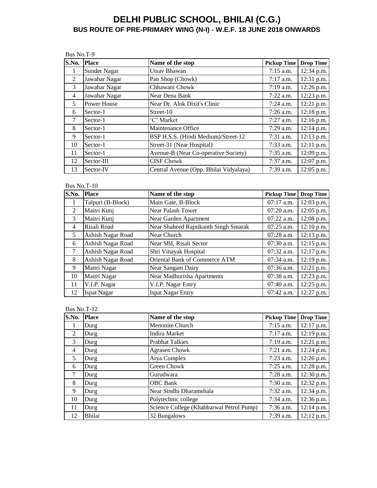Bus No.T-9

| S.No.          | <b>Place</b>  | Name of the stop                       | <b>Pickup Time</b> | <b>Drop Time</b> |
|----------------|---------------|----------------------------------------|--------------------|------------------|
| 1              | Sunder Nagar  | Utsav Bhawan                           | $7:15$ a.m.        | 12:34 p.m.       |
| 2              | Jawahar Nagar | Pan Shop (Chowk)                       | $7:17$ a.m.        | 12:31 p.m.       |
| 3              | Jawahar Nagar | Chhawani Chowk                         | $7:19$ a.m.        | 12:26 p.m.       |
| $\overline{4}$ | Jawahar Nagar | Near Dena Bank                         | $7:22$ a.m.        | 12:23 p.m.       |
| 5              | Power House   | Near Dr. Alok Dixit's Clinic           | $7:24$ a.m.        | 12:21 p.m.       |
| 6              | Sector-1      | Street-10                              | $7:26$ a.m.        | $12:18$ p.m.     |
| 7              | Sector-1      | 'C' Market                             | $7:27$ a.m.        | $12:16$ p.m.     |
| 8              | Sector-1      | Maintenance Office                     | $7:29$ a.m.        | 12:14 p.m.       |
| 9              | Sector-1      | BSP H.S.S. (Hindi Medium)/Street-12    | $7:31$ a.m.        | 12:13 p.m.       |
| 10             | Sector-1      | Street-31 (Near Hospital)              | $7:33$ a.m.        | 12:11 p.m.       |
| 11             | Sector-1      | Avenue-B (Near Co-operative Society)   | $7:35$ a.m.        | 12:09 p.m.       |
| 12             | Sector-III    | <b>CISF Chowk</b>                      | $7:37$ a.m.        | 12:07 p.m.       |
| 13             | Sector-IV     | Central Avenue (Opp. Bhilai Vidyalaya) | 7:39 a.m.          | 12:05 p.m.       |

Bus No.T-10

| S.No.  | <b>Place</b>       | Name of the stop                     | <b>Pickup Time</b> | <b>Drop Time</b> |
|--------|--------------------|--------------------------------------|--------------------|------------------|
| 1      | Talpuri (B-Block)  | Main Gate, B-Block                   | $07:17$ a.m.       | 12:03 p.m.       |
| 2      | Maitri Kunj        | <b>Near Palash Tower</b>             | $07:20$ a.m.       | 12:05 p.m.       |
| 3      | Maitri Kunj        | Near Garden Apartment                | $07:22$ a.m.       | 12:08 p.m.       |
| 4      | Risali Road        | Near Shaheed Rajnikanth Singh Smarak | $07:25$ a.m.       | $12:10$ p.m.     |
| 5      | Ashish Nagar Road  | Near Church                          | $07:28$ a.m.       | 12:13 p.m.       |
| 6      | Ashish Nagar Road  | Near SBI, Risali Sector              | 07:30 a.m.         | $12:15$ p.m.     |
| $\tau$ | Ashish Nagar Road  | Shri Vinayak Hospital                | $07:32$ a.m.       | 12:17 p.m.       |
| 8      | Ashish Nagar Road  | Oriental Bank of Commerce ATM        | $07:34$ a.m.       | 12:19 p.m.       |
| 9      | Maitri Nagar       | Near Sangam Dairy                    | $07:36$ a.m.       | 12:21 p.m.       |
| 10     | Maitri Nagar       | Near Madhurisha Apartments           | 07:38 a.m.         | 12:23 p.m.       |
| 11     | V.I.P. Nagar       | V.I.P. Nagar Entry                   | $07:40$ a.m.       | 12:25 p.m.       |
| 12     | <b>Ispat Nagar</b> | <b>Ispat Nagar Entry</b>             | 07:42 a.m.         | 12:27 p.m.       |

| S.No.          | <b>Place</b> | Name of the stop                         | <b>Pickup Time</b> | <b>Drop Time</b> |
|----------------|--------------|------------------------------------------|--------------------|------------------|
| 1              | Durg         | Menonite Church                          | $7:15$ a.m.        | $12:17$ p.m.     |
| 2              | Durg         | Indira Market                            | $7:17$ a.m.        | $12:19$ p.m.     |
| 3              | Durg         | <b>Prabhat Talkies</b>                   | $7:19$ a.m.        | 12:21 p.m.       |
| $\overline{4}$ | Durg         | <b>Agrasen Chowk</b>                     | $7:21$ a.m.        | 12:24 p.m.       |
| 5              | Durg         | Arya Complex                             | $7:23$ a.m.        | 12:26 p.m.       |
| 6              | Durg         | Green Chowk                              | $7:25$ a.m.        | 12:28 p.m.       |
| 7              | Durg         | Gurudwara                                | $7:28$ a.m.        | 12:30 p.m.       |
| 8              | Durg         | <b>OBC</b> Bank                          | $7:30$ a.m.        | 12:32 p.m.       |
| 9              | Durg         | Near Sindhi Dharamshala                  | $7:32$ a.m.        | 12:34 p.m.       |
| 10             | Durg         | Polytechnic college                      | $7:34$ a.m.        | 12:36 p.m.       |
| 11             | Durg         | Science College (Khabbarwal Petrol Pump) | $7:36$ a.m.        | $12:14$ p.m.     |
| 12             | Bhilai       | 32 Bungalows                             | 7:39 a.m.          | $12:12$ p.m.     |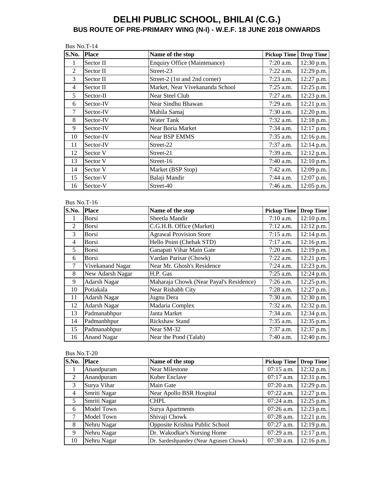|       | Bus No.T-14  |                                 |                    |                  |  |
|-------|--------------|---------------------------------|--------------------|------------------|--|
| S.No. | <b>Place</b> | Name of the stop                | <b>Pickup Time</b> | <b>Drop Time</b> |  |
| 1     | Sector II    | Enquiry Office (Maintenance)    | $7:20$ a.m.        | 12:30 p.m.       |  |
| 2     | Sector II    | Street-23                       | $7:22$ a.m.        | 12:29 p.m.       |  |
| 3     | Sector II    | Street-2 (1st and 2nd corner)   | $7:23$ a.m.        | 12:27 p.m.       |  |
| 4     | Sector II    | Market, Near Vivekananda School | $7:25$ a.m.        | 12:25 p.m.       |  |
| 5     | Sector-II    | Near Steel Club                 | $7:27$ a.m.        | 12:23 p.m.       |  |
| 6     | Sector-IV    | Near Sindhu Bhawan              | $7:29$ a.m.        | $12:21$ p.m.     |  |
| 7     | Sector-IV    | Mahila Samaj                    | $7:30$ a.m.        | 12:20 p.m.       |  |
| 8     | Sector-IV    | <b>Water Tank</b>               | $7:32$ a.m.        | 12:18 p.m.       |  |
| 9     | Sector-IV    | Near Boria Market               | $7:34$ a.m.        | 12:17 p.m.       |  |
| 10    | Sector-IV    | <b>Near BSP EMMS</b>            | $7:35$ a.m.        | 12:16 p.m.       |  |
| 11    | Sector-IV    | Street-22                       | 7:37 a.m.          | 12:14 p.m.       |  |
| 12    | Sector V     | Street-21                       | 7:39 a.m.          | 12:12 p.m.       |  |
| 13    | Sector V     | Street-16                       | 7:40 a.m.          | 12:10 p.m.       |  |
| 14    | Sector V     | Market (BSP Stop)               | $7:42$ a.m.        | 12:09 p.m.       |  |
| 15    | Sector-V     | Balaji Mandir                   | 7:44 a.m.          | 12:07 p.m.       |  |
| 16    | Sector-V     | Street-40                       | 7:46 a.m.          | 12:05 p.m.       |  |

### Bus No.T-16

| $\overline{\textbf{S}}.\overline{\textbf{No}}.$ | <b>Place</b>        | Name of the stop                        | <b>Pickup Time</b> | <b>Drop Time</b> |
|-------------------------------------------------|---------------------|-----------------------------------------|--------------------|------------------|
| $\mathbf{I}$                                    | Borsi               | Sheetla Mandir                          | $7:10$ a.m.        | $12:10$ p.m.     |
| 2                                               | Borsi               | C.G.H.B. Office (Market)                | 7:12 a.m.          | $12:12$ p.m.     |
| 3                                               | <b>Borsi</b>        | <b>Agrawal Provision Store</b>          | $7:15$ a.m.        | $12:14$ p.m.     |
| $\overline{4}$                                  | <b>Borsi</b>        | Hello Point (Chehak STD)                | $7:17$ a.m.        | 12:16 p.m.       |
| 5                                               | Borsi               | Ganapati Vihar Main Gate                | $7:20$ a.m.        | 12:19 p.m.       |
| 6                                               | <b>Borsi</b>        | Vardan Parisar (Chowk)                  | $7:22$ a.m.        | 12:21 p.m.       |
| $\tau$                                          | Vivekanand Nagar    | Near Mr. Ghosh's Residence              | $7:24$ a.m.        | 12:23 p.m.       |
| 8                                               | New Adarsh Nagar    | H.P. Gas                                | $7:25$ a.m.        | 12:24 p.m.       |
| 9                                               | <b>Adarsh Nagar</b> | Maharaja Chowk (Near Payal's Residence) | $7:26$ a.m.        | 12:25 p.m.       |
| 10                                              | Potiakala           | Near Rishabh City                       | 7:28 a.m.          | 12:27 p.m.       |
| 11                                              | <b>Adarsh Nagar</b> | Jugnu Dera                              | $7:30$ a.m.        | 12:30 p.m.       |
| 12                                              | <b>Adarsh Nagar</b> | Madaria Complex                         | $7:32$ a.m.        | 12:32 p.m.       |
| 13                                              | Padmanabhpur        | Janta Market                            | 7:34 a.m.          | 12:34 p.m.       |
| 14                                              | Padmanbhpur         | <b>Rickshaw Stand</b>                   | 7:35 a.m.          | 12:35 p.m.       |
| 15                                              | Padmanabhpur        | Near SM-32                              | 7:37 a.m.          | 12:37 p.m.       |
| 16                                              | <b>Anand Nagar</b>  | Near the Pond (Talab)                   | 7:40 a.m.          | 12:40 p.m.       |

| S.No.          | <b>Place</b> | Name of the stop                       | <b>Pickup Time</b> | <b>Drop Time</b> |
|----------------|--------------|----------------------------------------|--------------------|------------------|
|                | Anandpuram   | <b>Near Milestone</b>                  | 07:15 a.m.         | 12:32 p.m.       |
| $\mathfrak{D}$ | Anandpuram   | Kuber Enclave                          | $07:17$ a.m.       | 12:31 p.m.       |
| 3              | Surya Vihar  | Main Gate                              | $07:20$ a.m.       | 12:29 p.m.       |
| $\overline{4}$ | Smriti Nagar | Near Apollo BSR Hospital               | $07:22$ a.m.       | 12:27 p.m.       |
| 5              | Smriti Nagar | CHPL                                   | $07:24$ a.m.       | 12:25 p.m.       |
| 6              | Model Town   | <b>Surya Apartments</b>                | 07:26 a.m.         | 12:23 p.m.       |
| 7              | Model Town   | Shivaji Chowk                          | $07:28$ a.m.       | 12:21 p.m.       |
| 8              | Nehru Nagar  | Opposite Krishna Public School         | $07:27$ a.m.       | 12:19 p.m.       |
| 9              | Nehru Nagar  | Dr. Wakodkar's Nursing Home            | $07:29$ a.m.       | 12:17 p.m.       |
| 10             | Nehru Nagar  | Dr. Sardeshpandey (Near Agrasen Chowk) | $07:30$ a.m.       | $12:16$ p.m.     |